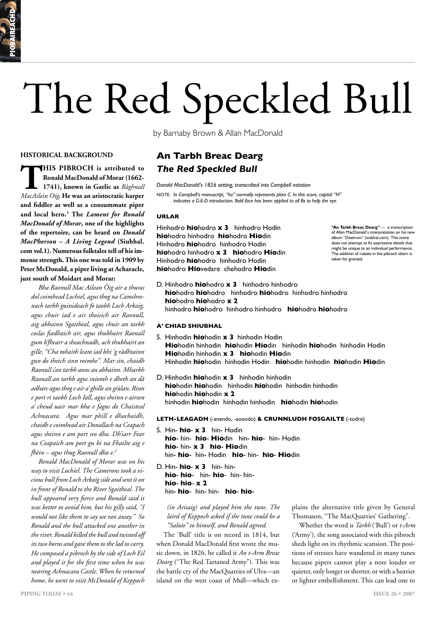# The Red Speckled Bull

by Barnaby Brown & Allan MacDonald

## **HISTORICAL BACKGROUND**

**THIS PIBROCH** is attributed to<br>
Ronald MacDonald of Morar (1662-<br>
1741), known in Gaelic as Ràghnall<br>
MacAilein Oig. He was an aristocratic harper **Ronald MacDonald of Morar (1662- 1741), known in Gaelic as** *Ràghnall MacAilein Oig***. He was an aristocratic harper and fiddler as well as a consummate piper and local hero.1 The** *Lament for Ronald MacDonald of Morar***, one of the highlights of the repertoire, can be heard on** *Donald MacPherson – A Living Legend* **(Siubhal. com vol.1). Numerous folktales tell of his immense strength. This one was told in 1909 by Peter McDonald, a piper living at Acharacle, just south of Moidart and Morar:**

*Bha Raonull Mac Ailean Òig air a thuras dol coimhead Lochiel, agus thog na Camshronach tarbh guinideach fo taobh Loch Arkaig, agus chuir iad e air thoisich air Raonull, aig abhainn Sgaitheal, agus chuir an tarbh coslas fiadhaich air, agus thubhairt Raonall gum b'fhearr a sheachnadh, ach thubhairt an gille, "Cha mhaith leam iad bhi 'g ràdhtainn gun do theich sinn roimhe". Mar sin, chaidh Raonull s'an tarbh anns an abhainn. Mharbh Raonall an tarbh agus sniomh e dheth an dà adharc agus thog e air a' ghille an giùlan. Rinn e port ri taobh Loch Iall, agus sheinn e airson a' cheud uair mar bha e fagus do Chaisteal Achnacara. Agus mar phill e dhachaidh, chaidh e coimhead air Donallach na Ceapach agus sheinn e am port seo dha. Dh'iarr Fear na Ceapaich am port gu bi na Fhailte aig e fhèin – agus thug Raonull dha e.2*

*Ronald MacDonald of Morar was on his way to visit Lochiel. The Camerons took a vicious bull from Loch Arkaig side and sent it on in front of Ronald to the River Sgaitheal. The bull appeared very fierce and Ronald said it was better to avoid him, but his gilly said, "I would not like them to say we ran away." So Ronald and the bull attacked one another in the river. Ronald killed the bull and twisted off its two horns and gave them to the lad to carry. He composed a pibroch by the side of Loch Eil and played it for the first time when he was nearing Achnacara Castle. When he returned home, he went to visit McDonald of Keppoch* 

**An Tarbh Breac Dearg** *The Red Speckled Bull*

*Donald MacDonald's 1826 setting, transcribed into Campbell notation*

NOTE: *In Campbell's manuscript, "ho" normally represents plain C. In this score, capital "H" indicates a G-E-D introduction. Bold face has been applied to all Bs to help the eye.*

## **URLAR**

Hinhodro **hio**hodro **x 3** hinhodro Hodin **hio**hodro hinhodro **hio**hodro **Hio**din Hinhodro **hio**hodro hinhodro Hodin **hio**hodro hinhodro **x 3 hio**hodro **Hio**din Hinhodro **hio**hodro hinhodro Hodin **hio**hodro **Hio**vedare chehodro **Hio**din

**"An Tarbh Breac Dearg"** — a transcription of Allan MacDonald's interpretation on his new album "Dastirum" (siubhal.com). This score does not attempt to fix expressive details that might be unique to an individual performance. The addition of rubato in the pibroch idiom is taken for granted.

D. Hinhodro **hio**hodro **x 3** hinhodro hinhodro **hio**hodro **hio**hodro hinhodro **hio**hodro hinhodro hinhodro **hio**hodro **hio**hodro **x 2** hinhodro **hio**hodro hinhodro hinhodro **hio**hodro **hio**hodro

# **A' CHIAD SHIUBHAL**

- S. Hinhodin **hio**hodin **x 3** hinhodin Hodin **Hio**hodin hinhodin **hio**hodin **Hio**din hinhodin **hio**hodin hinhodin Hodin **Hio**hodin hinhodin **x 3 hio**hodin **Hio**din Hinhodin **hio**hodin hinhodin Hodin **hio**hodin hinhodin **hio**hodin **Hio**din
- D. Hinhodin **hio**hodin **x 3** hinhodin hinhodin **hio**hodin **hio**hodin hinhodin **hio**hodin hinhodin hinhodin **hio**hodin **hio**hodin **x 2** hinhodin **hio**hodin hinhodin hinhodin **hio**hodin **hio**hodin

### **LETH-LEAGADH** (-anendo, -aoeodo) **& CRUNNLUDH FOSGAILTE** (-todre)

- S. Hin- **hio x 3** hin- Hodin **hio**- hin- **hio**- **Hio**din hin- **hio**- hin- Hodin **hio**- hin- **x 3 hio**- **Hio**din hin- **hio**- hin- Hodin **hio**- hin- **hio**- **Hio**din
- D. Hin- **hio x 3** hin- hin**hio**- **hio**- hin- **hio**- hin- hin**hio**- **hio**- **x 2** hin- **hio**- hin- hin- **hio**- **hio**-

*(in Arisaig) and played him the tune. The laird of Keppoch asked if the tune could be a "Salute" to himself, and Ronald agreed.*

The 'Bull' title is on record in 1814, but when Donald MacDonald first wrote the music down, in 1826, he called it *An t-Arm Breac Dearg* ("The Red Tartaned Army"). This was the battle cry of the MacQuarries of Ulva—an island on the west coast of Mull—which explains the alternative title given by General Thomason, "The MacQuarries' Gathering".

Whether the word is *Tarbh* ('Bull') or *t-Arm*  ('Army')*,* the song associated with this pibroch sheds light on its rhythmic scansion. The positions of stresses have wandered in many tunes because pipers cannot play a note louder or quieter, only longer or shorter, or with a heavier or lighter embellishment. This can lead one to